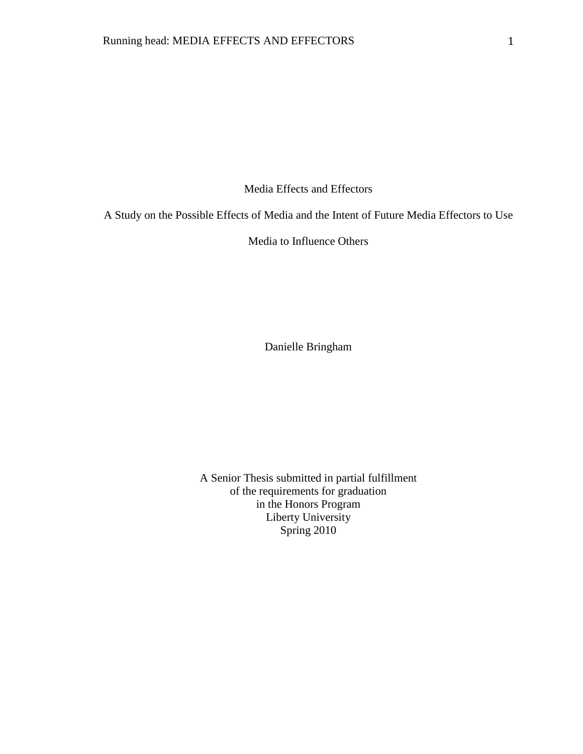Media Effects and Effectors

A Study on the Possible Effects of Media and the Intent of Future Media Effectors to Use

Media to Influence Others

Danielle Bringham

A Senior Thesis submitted in partial fulfillment of the requirements for graduation in the Honors Program Liberty University Spring 2010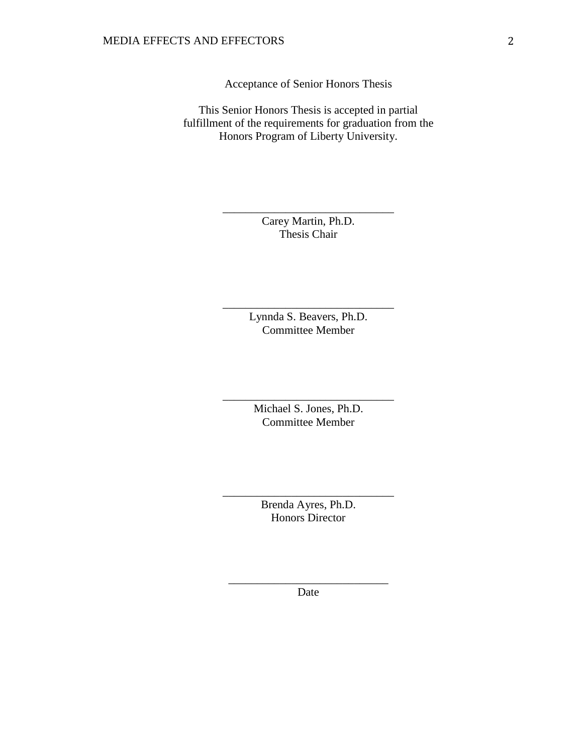Acceptance of Senior Honors Thesis

This Senior Honors Thesis is accepted in partial fulfillment of the requirements for graduation from the Honors Program of Liberty University.

> Carey Martin, Ph.D. Thesis Chair

\_\_\_\_\_\_\_\_\_\_\_\_\_\_\_\_\_\_\_\_\_\_\_\_\_\_\_\_\_\_

Lynnda S. Beavers, Ph.D. Committee Member

\_\_\_\_\_\_\_\_\_\_\_\_\_\_\_\_\_\_\_\_\_\_\_\_\_\_\_\_\_\_

Michael S. Jones, Ph.D. Committee Member

\_\_\_\_\_\_\_\_\_\_\_\_\_\_\_\_\_\_\_\_\_\_\_\_\_\_\_\_\_\_

Brenda Ayres, Ph.D. Honors Director

\_\_\_\_\_\_\_\_\_\_\_\_\_\_\_\_\_\_\_\_\_\_\_\_\_\_\_\_\_\_

\_\_\_\_\_\_\_\_\_\_\_\_\_\_\_\_\_\_\_\_\_\_\_\_\_\_\_\_ Date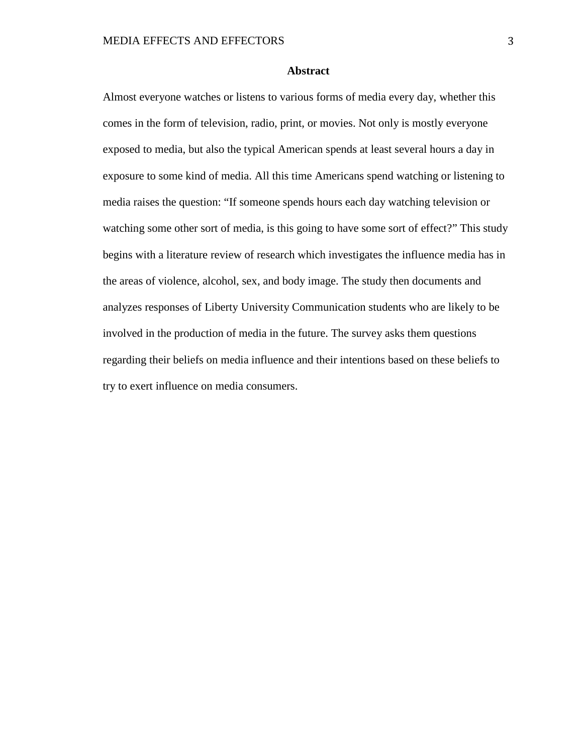#### **Abstract**

Almost everyone watches or listens to various forms of media every day, whether this comes in the form of television, radio, print, or movies. Not only is mostly everyone exposed to media, but also the typical American spends at least several hours a day in exposure to some kind of media. All this time Americans spend watching or listening to media raises the question: "If someone spends hours each day watching television or watching some other sort of media, is this going to have some sort of effect?" This study begins with a literature review of research which investigates the influence media has in the areas of violence, alcohol, sex, and body image. The study then documents and analyzes responses of Liberty University Communication students who are likely to be involved in the production of media in the future. The survey asks them questions regarding their beliefs on media influence and their intentions based on these beliefs to try to exert influence on media consumers.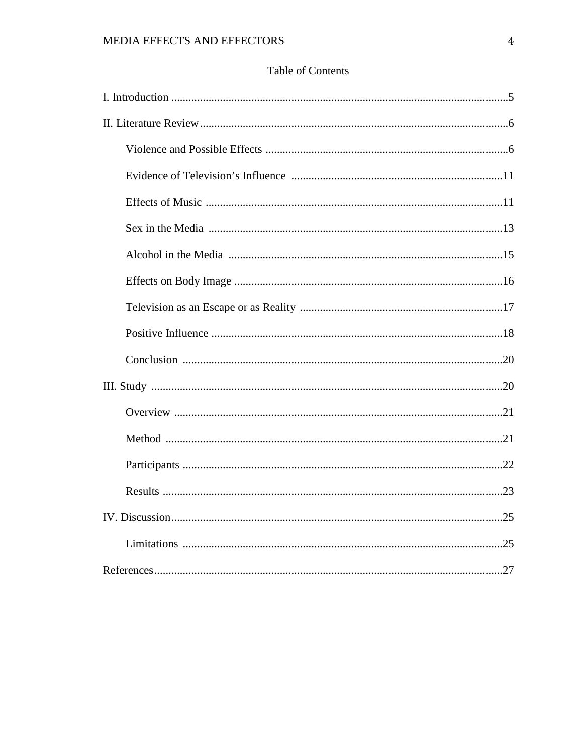# Table of Contents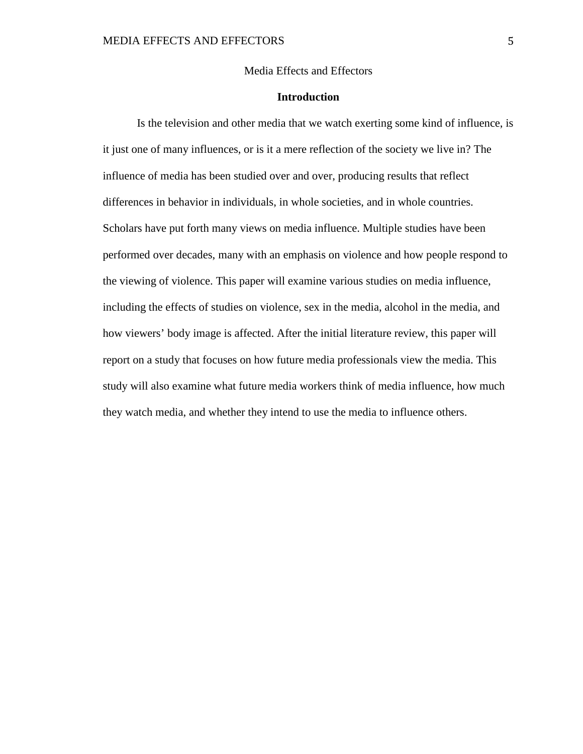# Media Effects and Effectors

## **Introduction**

Is the television and other media that we watch exerting some kind of influence, is it just one of many influences, or is it a mere reflection of the society we live in? The influence of media has been studied over and over, producing results that reflect differences in behavior in individuals, in whole societies, and in whole countries. Scholars have put forth many views on media influence. Multiple studies have been performed over decades, many with an emphasis on violence and how people respond to the viewing of violence. This paper will examine various studies on media influence, including the effects of studies on violence, sex in the media, alcohol in the media, and how viewers' body image is affected. After the initial literature review, this paper will report on a study that focuses on how future media professionals view the media. This study will also examine what future media workers think of media influence, how much they watch media, and whether they intend to use the media to influence others.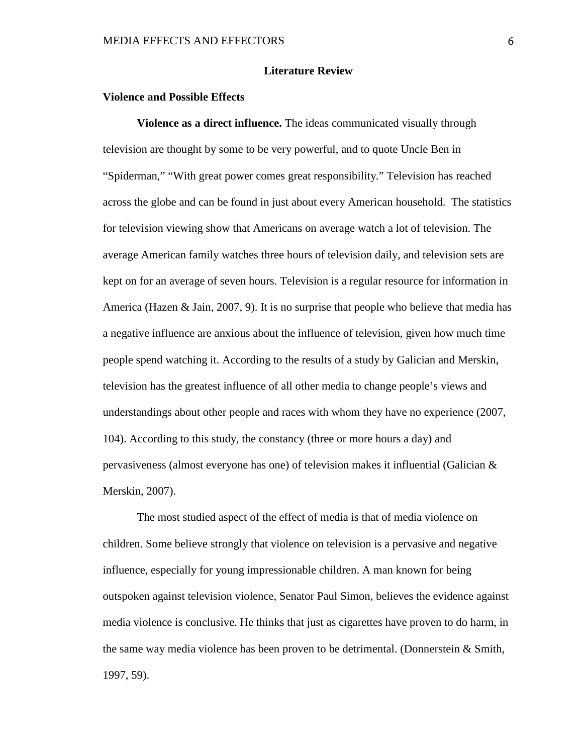#### **Literature Review**

#### **Violence and Possible Effects**

**Violence as a direct influence.** The ideas communicated visually through television are thought by some to be very powerful, and to quote Uncle Ben in "Spiderman," "With great power comes great responsibility." Television has reached across the globe and can be found in just about every American household. The statistics for television viewing show that Americans on average watch a lot of television. The average American family watches three hours of television daily, and television sets are kept on for an average of seven hours. Television is a regular resource for information in America (Hazen & Jain, 2007, 9). It is no surprise that people who believe that media has a negative influence are anxious about the influence of television, given how much time people spend watching it. According to the results of a study by Galician and Merskin, television has the greatest influence of all other media to change people's views and understandings about other people and races with whom they have no experience (2007, 104). According to this study, the constancy (three or more hours a day) and pervasiveness (almost everyone has one) of television makes it influential (Galician  $\&$ Merskin, 2007).

The most studied aspect of the effect of media is that of media violence on children. Some believe strongly that violence on television is a pervasive and negative influence, especially for young impressionable children. A man known for being outspoken against television violence, Senator Paul Simon, believes the evidence against media violence is conclusive. He thinks that just as cigarettes have proven to do harm, in the same way media violence has been proven to be detrimental. (Donnerstein & Smith, 1997, 59).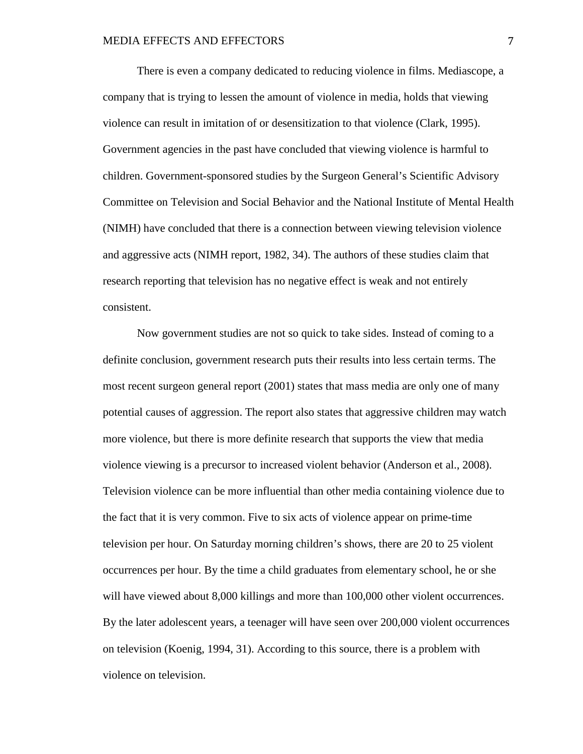There is even a company dedicated to reducing violence in films. Mediascope, a company that is trying to lessen the amount of violence in media, holds that viewing violence can result in imitation of or desensitization to that violence (Clark, 1995). Government agencies in the past have concluded that viewing violence is harmful to children. Government-sponsored studies by the Surgeon General's Scientific Advisory Committee on Television and Social Behavior and the National Institute of Mental Health (NIMH) have concluded that there is a connection between viewing television violence and aggressive acts (NIMH report, 1982, 34). The authors of these studies claim that research reporting that television has no negative effect is weak and not entirely consistent.

Now government studies are not so quick to take sides. Instead of coming to a definite conclusion, government research puts their results into less certain terms. The most recent surgeon general report (2001) states that mass media are only one of many potential causes of aggression. The report also states that aggressive children may watch more violence, but there is more definite research that supports the view that media violence viewing is a precursor to increased violent behavior (Anderson et al., 2008). Television violence can be more influential than other media containing violence due to the fact that it is very common. Five to six acts of violence appear on prime-time television per hour. On Saturday morning children's shows, there are 20 to 25 violent occurrences per hour. By the time a child graduates from elementary school, he or she will have viewed about 8,000 killings and more than 100,000 other violent occurrences. By the later adolescent years, a teenager will have seen over 200,000 violent occurrences on television (Koenig, 1994, 31). According to this source, there is a problem with violence on television.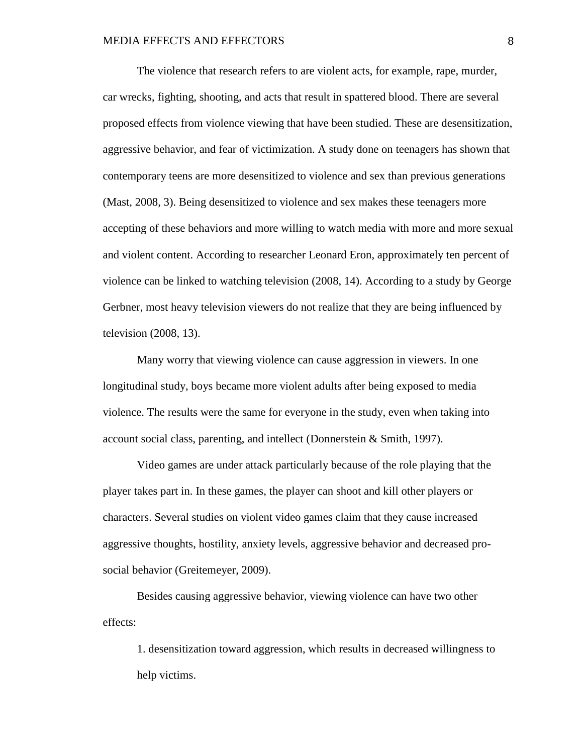The violence that research refers to are violent acts, for example, rape, murder, car wrecks, fighting, shooting, and acts that result in spattered blood. There are several proposed effects from violence viewing that have been studied. These are desensitization, aggressive behavior, and fear of victimization. A study done on teenagers has shown that contemporary teens are more desensitized to violence and sex than previous generations (Mast, 2008, 3). Being desensitized to violence and sex makes these teenagers more accepting of these behaviors and more willing to watch media with more and more sexual and violent content. According to researcher Leonard Eron, approximately ten percent of violence can be linked to watching television (2008, 14). According to a study by George Gerbner, most heavy television viewers do not realize that they are being influenced by television (2008, 13).

Many worry that viewing violence can cause aggression in viewers. In one longitudinal study, boys became more violent adults after being exposed to media violence. The results were the same for everyone in the study, even when taking into account social class, parenting, and intellect (Donnerstein & Smith, 1997).

Video games are under attack particularly because of the role playing that the player takes part in. In these games, the player can shoot and kill other players or characters. Several studies on violent video games claim that they cause increased aggressive thoughts, hostility, anxiety levels, aggressive behavior and decreased prosocial behavior (Greitemeyer, 2009).

Besides causing aggressive behavior, viewing violence can have two other effects:

1. desensitization toward aggression, which results in decreased willingness to help victims.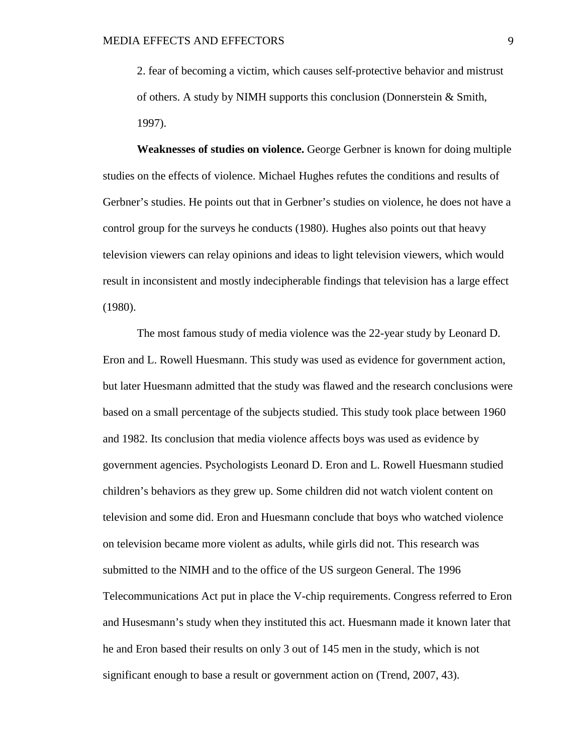2. fear of becoming a victim, which causes self-protective behavior and mistrust of others. A study by NIMH supports this conclusion (Donnerstein & Smith, 1997).

**Weaknesses of studies on violence.** George Gerbner is known for doing multiple studies on the effects of violence. Michael Hughes refutes the conditions and results of Gerbner's studies. He points out that in Gerbner's studies on violence, he does not have a control group for the surveys he conducts (1980). Hughes also points out that heavy television viewers can relay opinions and ideas to light television viewers, which would result in inconsistent and mostly indecipherable findings that television has a large effect (1980).

The most famous study of media violence was the 22-year study by Leonard D. Eron and L. Rowell Huesmann. This study was used as evidence for government action, but later Huesmann admitted that the study was flawed and the research conclusions were based on a small percentage of the subjects studied. This study took place between 1960 and 1982. Its conclusion that media violence affects boys was used as evidence by government agencies. Psychologists Leonard D. Eron and L. Rowell Huesmann studied children's behaviors as they grew up. Some children did not watch violent content on television and some did. Eron and Huesmann conclude that boys who watched violence on television became more violent as adults, while girls did not. This research was submitted to the NIMH and to the office of the US surgeon General. The 1996 Telecommunications Act put in place the V-chip requirements. Congress referred to Eron and Husesmann's study when they instituted this act. Huesmann made it known later that he and Eron based their results on only 3 out of 145 men in the study, which is not significant enough to base a result or government action on (Trend, 2007, 43).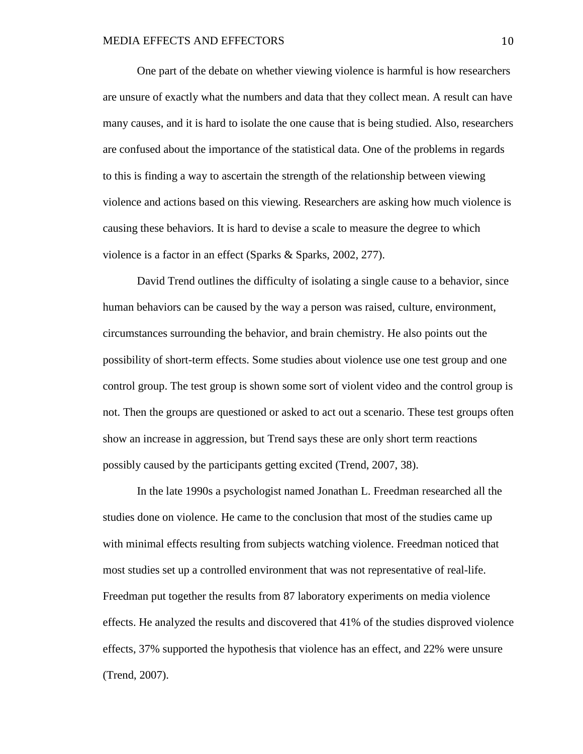One part of the debate on whether viewing violence is harmful is how researchers are unsure of exactly what the numbers and data that they collect mean. A result can have many causes, and it is hard to isolate the one cause that is being studied. Also, researchers are confused about the importance of the statistical data. One of the problems in regards to this is finding a way to ascertain the strength of the relationship between viewing violence and actions based on this viewing. Researchers are asking how much violence is causing these behaviors. It is hard to devise a scale to measure the degree to which violence is a factor in an effect (Sparks & Sparks, 2002, 277).

David Trend outlines the difficulty of isolating a single cause to a behavior, since human behaviors can be caused by the way a person was raised, culture, environment, circumstances surrounding the behavior, and brain chemistry. He also points out the possibility of short-term effects. Some studies about violence use one test group and one control group. The test group is shown some sort of violent video and the control group is not. Then the groups are questioned or asked to act out a scenario. These test groups often show an increase in aggression, but Trend says these are only short term reactions possibly caused by the participants getting excited (Trend, 2007, 38).

In the late 1990s a psychologist named Jonathan L. Freedman researched all the studies done on violence. He came to the conclusion that most of the studies came up with minimal effects resulting from subjects watching violence. Freedman noticed that most studies set up a controlled environment that was not representative of real-life. Freedman put together the results from 87 laboratory experiments on media violence effects. He analyzed the results and discovered that 41% of the studies disproved violence effects, 37% supported the hypothesis that violence has an effect, and 22% were unsure (Trend, 2007).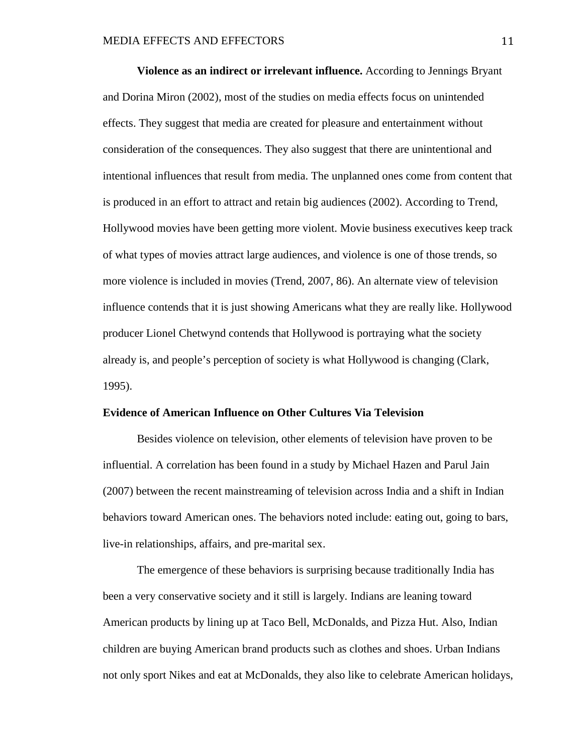**Violence as an indirect or irrelevant influence.** According to Jennings Bryant and Dorina Miron (2002), most of the studies on media effects focus on unintended effects. They suggest that media are created for pleasure and entertainment without consideration of the consequences. They also suggest that there are unintentional and intentional influences that result from media. The unplanned ones come from content that is produced in an effort to attract and retain big audiences (2002). According to Trend, Hollywood movies have been getting more violent. Movie business executives keep track of what types of movies attract large audiences, and violence is one of those trends, so more violence is included in movies (Trend, 2007, 86). An alternate view of television influence contends that it is just showing Americans what they are really like. Hollywood producer Lionel Chetwynd contends that Hollywood is portraying what the society already is, and people's perception of society is what Hollywood is changing (Clark, 1995).

#### **Evidence of American Influence on Other Cultures Via Television**

Besides violence on television, other elements of television have proven to be influential. A correlation has been found in a study by Michael Hazen and Parul Jain (2007) between the recent mainstreaming of television across India and a shift in Indian behaviors toward American ones. The behaviors noted include: eating out, going to bars, live-in relationships, affairs, and pre-marital sex.

The emergence of these behaviors is surprising because traditionally India has been a very conservative society and it still is largely. Indians are leaning toward American products by lining up at Taco Bell, McDonalds, and Pizza Hut. Also, Indian children are buying American brand products such as clothes and shoes. Urban Indians not only sport Nikes and eat at McDonalds, they also like to celebrate American holidays,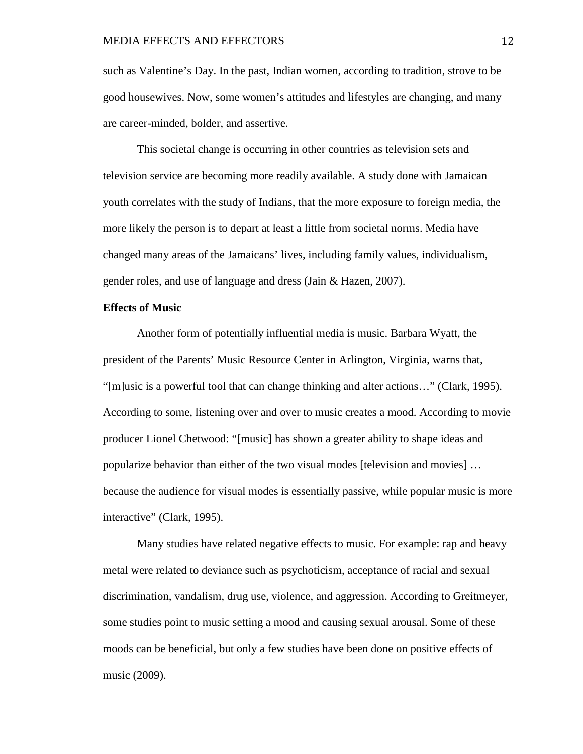such as Valentine's Day. In the past, Indian women, according to tradition, strove to be good housewives. Now, some women's attitudes and lifestyles are changing, and many are career-minded, bolder, and assertive.

This societal change is occurring in other countries as television sets and television service are becoming more readily available. A study done with Jamaican youth correlates with the study of Indians, that the more exposure to foreign media, the more likely the person is to depart at least a little from societal norms. Media have changed many areas of the Jamaicans' lives, including family values, individualism, gender roles, and use of language and dress (Jain & Hazen, 2007).

#### **Effects of Music**

Another form of potentially influential media is music. Barbara Wyatt, the president of the Parents' Music Resource Center in Arlington, Virginia, warns that, "[m]usic is a powerful tool that can change thinking and alter actions…" (Clark, 1995). According to some, listening over and over to music creates a mood. According to movie producer Lionel Chetwood: "[music] has shown a greater ability to shape ideas and popularize behavior than either of the two visual modes [television and movies] … because the audience for visual modes is essentially passive, while popular music is more interactive" (Clark, 1995).

Many studies have related negative effects to music. For example: rap and heavy metal were related to deviance such as psychoticism, acceptance of racial and sexual discrimination, vandalism, drug use, violence, and aggression. According to Greitmeyer, some studies point to music setting a mood and causing sexual arousal. Some of these moods can be beneficial, but only a few studies have been done on positive effects of music (2009).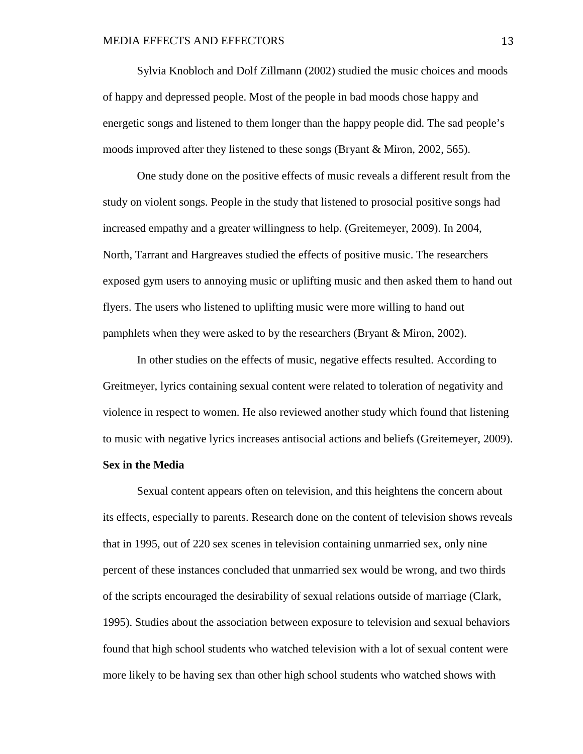Sylvia Knobloch and Dolf Zillmann (2002) studied the music choices and moods of happy and depressed people. Most of the people in bad moods chose happy and energetic songs and listened to them longer than the happy people did. The sad people's moods improved after they listened to these songs (Bryant & Miron, 2002, 565).

One study done on the positive effects of music reveals a different result from the study on violent songs. People in the study that listened to prosocial positive songs had increased empathy and a greater willingness to help. (Greitemeyer, 2009). In 2004, North, Tarrant and Hargreaves studied the effects of positive music. The researchers exposed gym users to annoying music or uplifting music and then asked them to hand out flyers. The users who listened to uplifting music were more willing to hand out pamphlets when they were asked to by the researchers (Bryant & Miron, 2002).

In other studies on the effects of music, negative effects resulted. According to Greitmeyer, lyrics containing sexual content were related to toleration of negativity and violence in respect to women. He also reviewed another study which found that listening to music with negative lyrics increases antisocial actions and beliefs (Greitemeyer, 2009).

### **Sex in the Media**

Sexual content appears often on television, and this heightens the concern about its effects, especially to parents. Research done on the content of television shows reveals that in 1995, out of 220 sex scenes in television containing unmarried sex, only nine percent of these instances concluded that unmarried sex would be wrong, and two thirds of the scripts encouraged the desirability of sexual relations outside of marriage (Clark, 1995). Studies about the association between exposure to television and sexual behaviors found that high school students who watched television with a lot of sexual content were more likely to be having sex than other high school students who watched shows with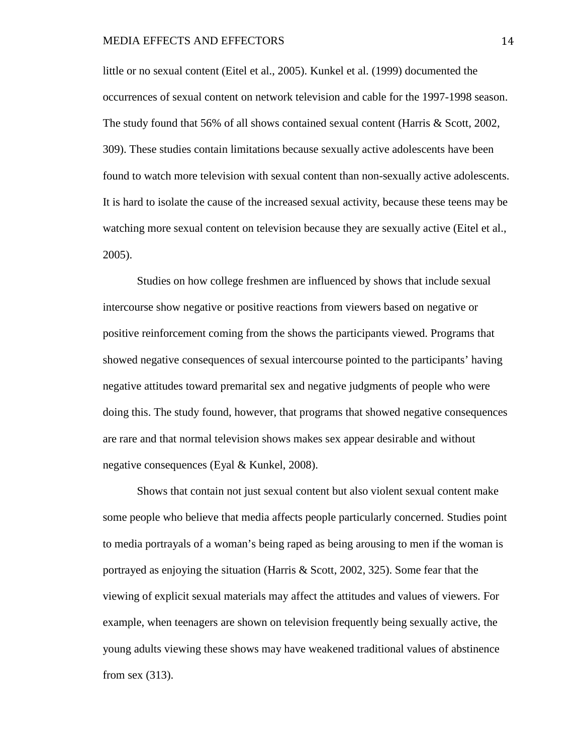little or no sexual content (Eitel et al., 2005). Kunkel et al. (1999) documented the occurrences of sexual content on network television and cable for the 1997-1998 season. The study found that 56% of all shows contained sexual content (Harris & Scott, 2002, 309). These studies contain limitations because sexually active adolescents have been found to watch more television with sexual content than non-sexually active adolescents. It is hard to isolate the cause of the increased sexual activity, because these teens may be watching more sexual content on television because they are sexually active (Eitel et al., 2005).

Studies on how college freshmen are influenced by shows that include sexual intercourse show negative or positive reactions from viewers based on negative or positive reinforcement coming from the shows the participants viewed. Programs that showed negative consequences of sexual intercourse pointed to the participants' having negative attitudes toward premarital sex and negative judgments of people who were doing this. The study found, however, that programs that showed negative consequences are rare and that normal television shows makes sex appear desirable and without negative consequences (Eyal & Kunkel, 2008).

Shows that contain not just sexual content but also violent sexual content make some people who believe that media affects people particularly concerned. Studies point to media portrayals of a woman's being raped as being arousing to men if the woman is portrayed as enjoying the situation (Harris & Scott, 2002, 325). Some fear that the viewing of explicit sexual materials may affect the attitudes and values of viewers. For example, when teenagers are shown on television frequently being sexually active, the young adults viewing these shows may have weakened traditional values of abstinence from sex (313).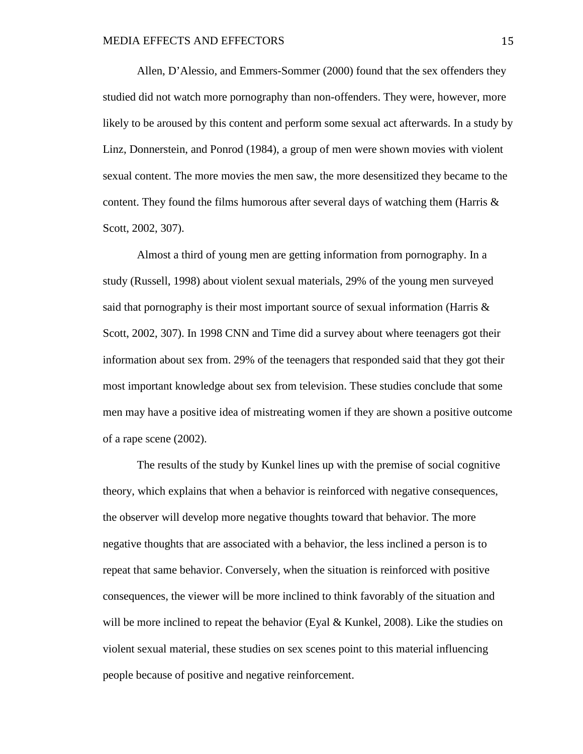Allen, D'Alessio, and Emmers-Sommer (2000) found that the sex offenders they studied did not watch more pornography than non-offenders. They were, however, more likely to be aroused by this content and perform some sexual act afterwards. In a study by Linz, Donnerstein, and Ponrod (1984), a group of men were shown movies with violent sexual content. The more movies the men saw, the more desensitized they became to the content. They found the films humorous after several days of watching them (Harris  $\&$ Scott, 2002, 307).

Almost a third of young men are getting information from pornography. In a study (Russell, 1998) about violent sexual materials, 29% of the young men surveyed said that pornography is their most important source of sexual information (Harris & Scott, 2002, 307). In 1998 CNN and Time did a survey about where teenagers got their information about sex from. 29% of the teenagers that responded said that they got their most important knowledge about sex from television. These studies conclude that some men may have a positive idea of mistreating women if they are shown a positive outcome of a rape scene (2002).

The results of the study by Kunkel lines up with the premise of social cognitive theory, which explains that when a behavior is reinforced with negative consequences, the observer will develop more negative thoughts toward that behavior. The more negative thoughts that are associated with a behavior, the less inclined a person is to repeat that same behavior. Conversely, when the situation is reinforced with positive consequences, the viewer will be more inclined to think favorably of the situation and will be more inclined to repeat the behavior (Eyal  $&$  Kunkel, 2008). Like the studies on violent sexual material, these studies on sex scenes point to this material influencing people because of positive and negative reinforcement.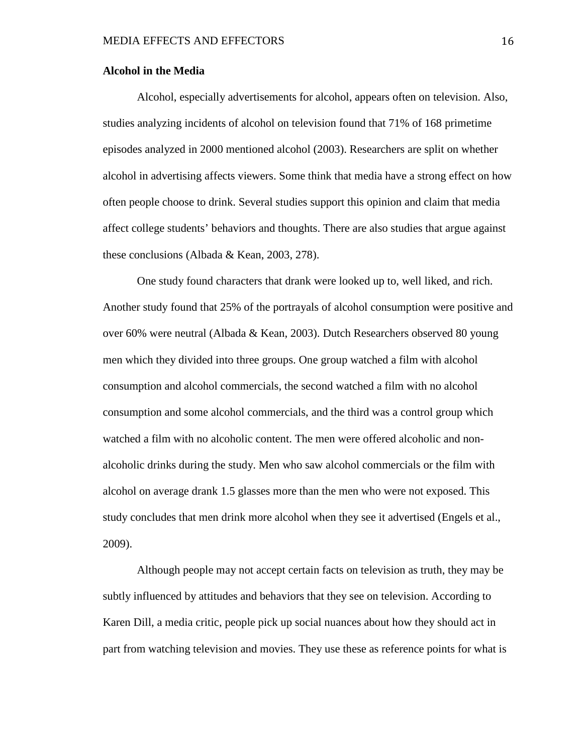#### **Alcohol in the Media**

Alcohol, especially advertisements for alcohol, appears often on television. Also, studies analyzing incidents of alcohol on television found that 71% of 168 primetime episodes analyzed in 2000 mentioned alcohol (2003). Researchers are split on whether alcohol in advertising affects viewers. Some think that media have a strong effect on how often people choose to drink. Several studies support this opinion and claim that media affect college students' behaviors and thoughts. There are also studies that argue against these conclusions (Albada & Kean, 2003, 278).

One study found characters that drank were looked up to, well liked, and rich. Another study found that 25% of the portrayals of alcohol consumption were positive and over 60% were neutral (Albada & Kean, 2003). Dutch Researchers observed 80 young men which they divided into three groups. One group watched a film with alcohol consumption and alcohol commercials, the second watched a film with no alcohol consumption and some alcohol commercials, and the third was a control group which watched a film with no alcoholic content. The men were offered alcoholic and nonalcoholic drinks during the study. Men who saw alcohol commercials or the film with alcohol on average drank 1.5 glasses more than the men who were not exposed. This study concludes that men drink more alcohol when they see it advertised (Engels et al., 2009).

Although people may not accept certain facts on television as truth, they may be subtly influenced by attitudes and behaviors that they see on television. According to Karen Dill, a media critic, people pick up social nuances about how they should act in part from watching television and movies. They use these as reference points for what is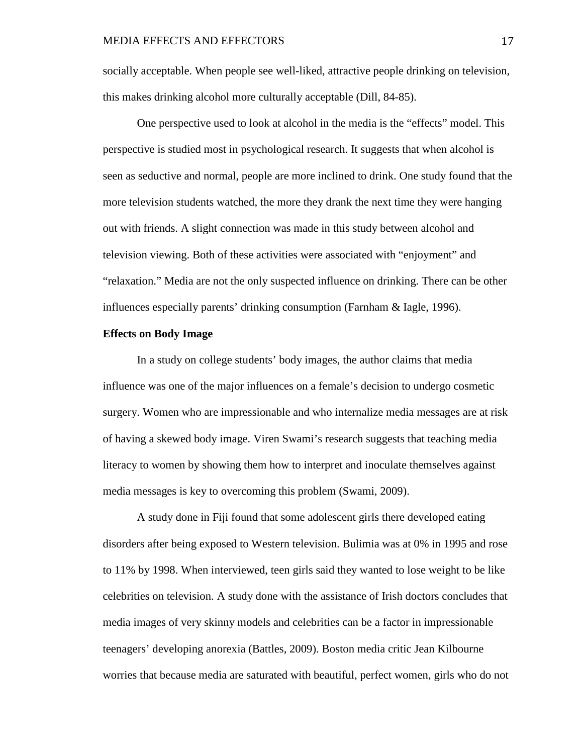socially acceptable. When people see well-liked, attractive people drinking on television, this makes drinking alcohol more culturally acceptable (Dill, 84-85).

One perspective used to look at alcohol in the media is the "effects" model. This perspective is studied most in psychological research. It suggests that when alcohol is seen as seductive and normal, people are more inclined to drink. One study found that the more television students watched, the more they drank the next time they were hanging out with friends. A slight connection was made in this study between alcohol and television viewing. Both of these activities were associated with "enjoyment" and "relaxation." Media are not the only suspected influence on drinking. There can be other influences especially parents' drinking consumption (Farnham & Iagle, 1996).

#### **Effects on Body Image**

In a study on college students' body images, the author claims that media influence was one of the major influences on a female's decision to undergo cosmetic surgery. Women who are impressionable and who internalize media messages are at risk of having a skewed body image. Viren Swami's research suggests that teaching media literacy to women by showing them how to interpret and inoculate themselves against media messages is key to overcoming this problem (Swami, 2009).

A study done in Fiji found that some adolescent girls there developed eating disorders after being exposed to Western television. Bulimia was at 0% in 1995 and rose to 11% by 1998. When interviewed, teen girls said they wanted to lose weight to be like celebrities on television. A study done with the assistance of Irish doctors concludes that media images of very skinny models and celebrities can be a factor in impressionable teenagers' developing anorexia (Battles, 2009). Boston media critic Jean Kilbourne worries that because media are saturated with beautiful, perfect women, girls who do not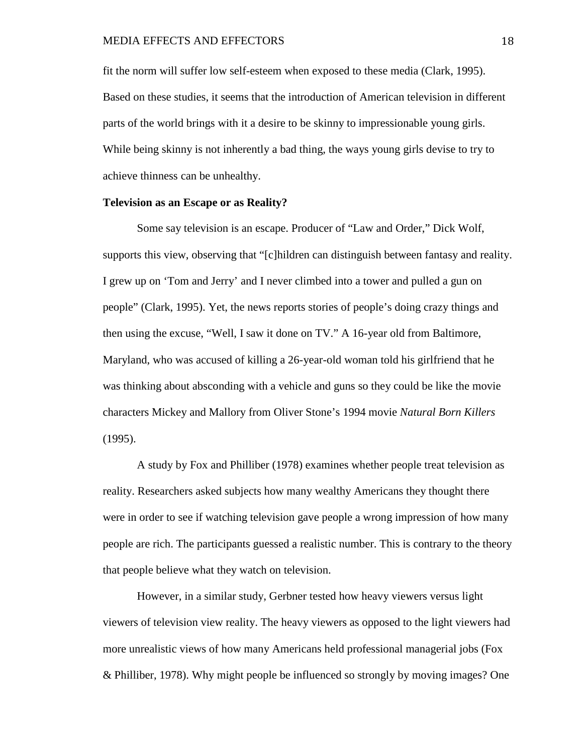fit the norm will suffer low self-esteem when exposed to these media (Clark, 1995). Based on these studies, it seems that the introduction of American television in different parts of the world brings with it a desire to be skinny to impressionable young girls. While being skinny is not inherently a bad thing, the ways young girls devise to try to achieve thinness can be unhealthy.

#### **Television as an Escape or as Reality?**

Some say television is an escape. Producer of "Law and Order," Dick Wolf, supports this view, observing that "[c]hildren can distinguish between fantasy and reality. I grew up on 'Tom and Jerry' and I never climbed into a tower and pulled a gun on people" (Clark, 1995). Yet, the news reports stories of people's doing crazy things and then using the excuse, "Well, I saw it done on TV." A 16-year old from Baltimore, Maryland, who was accused of killing a 26-year-old woman told his girlfriend that he was thinking about absconding with a vehicle and guns so they could be like the movie characters Mickey and Mallory from Oliver Stone's 1994 movie *Natural Born Killers* (1995).

A study by Fox and Philliber (1978) examines whether people treat television as reality. Researchers asked subjects how many wealthy Americans they thought there were in order to see if watching television gave people a wrong impression of how many people are rich. The participants guessed a realistic number. This is contrary to the theory that people believe what they watch on television.

However, in a similar study, Gerbner tested how heavy viewers versus light viewers of television view reality. The heavy viewers as opposed to the light viewers had more unrealistic views of how many Americans held professional managerial jobs (Fox & Philliber, 1978). Why might people be influenced so strongly by moving images? One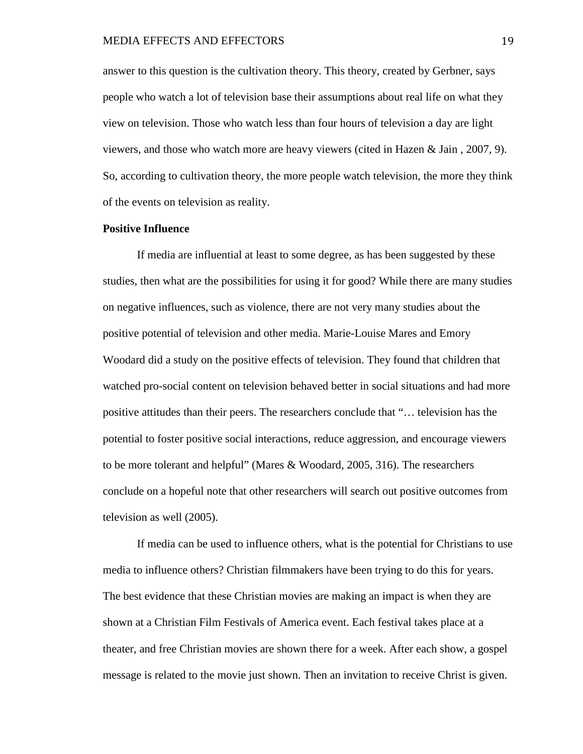answer to this question is the cultivation theory. This theory, created by Gerbner, says people who watch a lot of television base their assumptions about real life on what they view on television. Those who watch less than four hours of television a day are light viewers, and those who watch more are heavy viewers (cited in Hazen & Jain , 2007, 9). So, according to cultivation theory, the more people watch television, the more they think of the events on television as reality.

#### **Positive Influence**

If media are influential at least to some degree, as has been suggested by these studies, then what are the possibilities for using it for good? While there are many studies on negative influences, such as violence, there are not very many studies about the positive potential of television and other media. Marie-Louise Mares and Emory Woodard did a study on the positive effects of television. They found that children that watched pro-social content on television behaved better in social situations and had more positive attitudes than their peers. The researchers conclude that "… television has the potential to foster positive social interactions, reduce aggression, and encourage viewers to be more tolerant and helpful" (Mares & Woodard, 2005, 316). The researchers conclude on a hopeful note that other researchers will search out positive outcomes from television as well (2005).

If media can be used to influence others, what is the potential for Christians to use media to influence others? Christian filmmakers have been trying to do this for years. The best evidence that these Christian movies are making an impact is when they are shown at a Christian Film Festivals of America event. Each festival takes place at a theater, and free Christian movies are shown there for a week. After each show, a gospel message is related to the movie just shown. Then an invitation to receive Christ is given.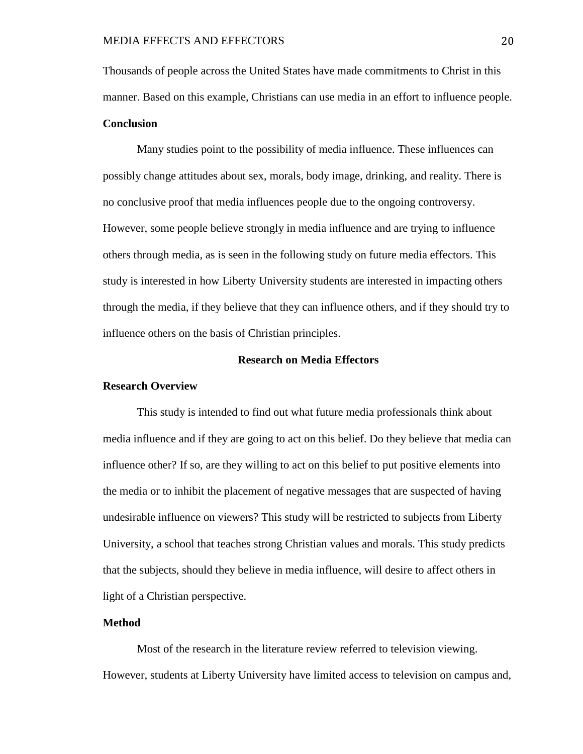Thousands of people across the United States have made commitments to Christ in this manner. Based on this example, Christians can use media in an effort to influence people. **Conclusion**

Many studies point to the possibility of media influence. These influences can possibly change attitudes about sex, morals, body image, drinking, and reality. There is no conclusive proof that media influences people due to the ongoing controversy. However, some people believe strongly in media influence and are trying to influence others through media, as is seen in the following study on future media effectors. This study is interested in how Liberty University students are interested in impacting others through the media, if they believe that they can influence others, and if they should try to influence others on the basis of Christian principles.

#### **Research on Media Effectors**

#### **Research Overview**

This study is intended to find out what future media professionals think about media influence and if they are going to act on this belief. Do they believe that media can influence other? If so, are they willing to act on this belief to put positive elements into the media or to inhibit the placement of negative messages that are suspected of having undesirable influence on viewers? This study will be restricted to subjects from Liberty University, a school that teaches strong Christian values and morals. This study predicts that the subjects, should they believe in media influence, will desire to affect others in light of a Christian perspective.

# **Method**

Most of the research in the literature review referred to television viewing. However, students at Liberty University have limited access to television on campus and,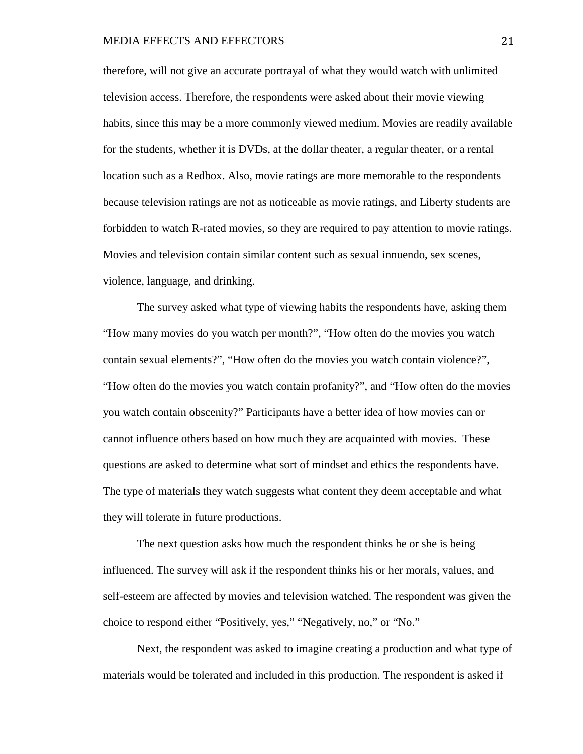therefore, will not give an accurate portrayal of what they would watch with unlimited television access. Therefore, the respondents were asked about their movie viewing habits, since this may be a more commonly viewed medium. Movies are readily available for the students, whether it is DVDs, at the dollar theater, a regular theater, or a rental location such as a Redbox. Also, movie ratings are more memorable to the respondents because television ratings are not as noticeable as movie ratings, and Liberty students are forbidden to watch R-rated movies, so they are required to pay attention to movie ratings. Movies and television contain similar content such as sexual innuendo, sex scenes, violence, language, and drinking.

The survey asked what type of viewing habits the respondents have, asking them "How many movies do you watch per month?", "How often do the movies you watch contain sexual elements?", "How often do the movies you watch contain violence?", "How often do the movies you watch contain profanity?", and "How often do the movies you watch contain obscenity?" Participants have a better idea of how movies can or cannot influence others based on how much they are acquainted with movies. These questions are asked to determine what sort of mindset and ethics the respondents have. The type of materials they watch suggests what content they deem acceptable and what they will tolerate in future productions.

The next question asks how much the respondent thinks he or she is being influenced. The survey will ask if the respondent thinks his or her morals, values, and self-esteem are affected by movies and television watched. The respondent was given the choice to respond either "Positively, yes," "Negatively, no," or "No."

Next, the respondent was asked to imagine creating a production and what type of materials would be tolerated and included in this production. The respondent is asked if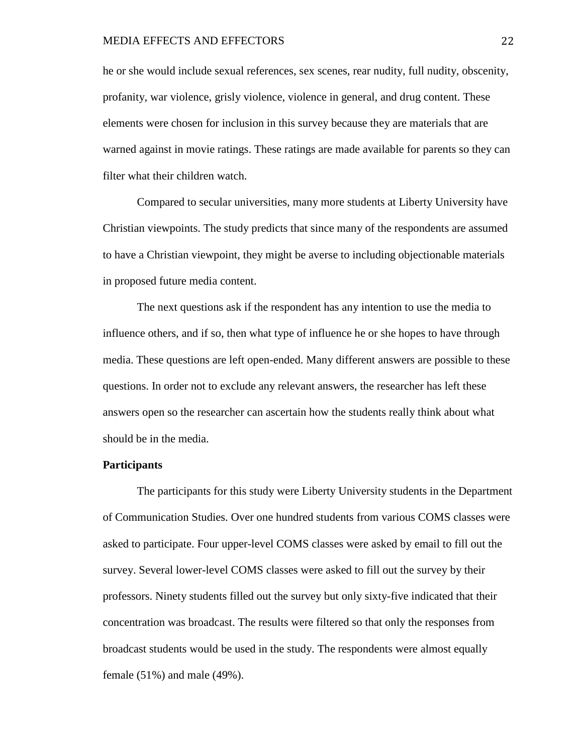he or she would include sexual references, sex scenes, rear nudity, full nudity, obscenity, profanity, war violence, grisly violence, violence in general, and drug content. These elements were chosen for inclusion in this survey because they are materials that are warned against in movie ratings. These ratings are made available for parents so they can filter what their children watch.

Compared to secular universities, many more students at Liberty University have Christian viewpoints. The study predicts that since many of the respondents are assumed to have a Christian viewpoint, they might be averse to including objectionable materials in proposed future media content.

The next questions ask if the respondent has any intention to use the media to influence others, and if so, then what type of influence he or she hopes to have through media. These questions are left open-ended. Many different answers are possible to these questions. In order not to exclude any relevant answers, the researcher has left these answers open so the researcher can ascertain how the students really think about what should be in the media.

### **Participants**

The participants for this study were Liberty University students in the Department of Communication Studies. Over one hundred students from various COMS classes were asked to participate. Four upper-level COMS classes were asked by email to fill out the survey. Several lower-level COMS classes were asked to fill out the survey by their professors. Ninety students filled out the survey but only sixty-five indicated that their concentration was broadcast. The results were filtered so that only the responses from broadcast students would be used in the study. The respondents were almost equally female (51%) and male (49%).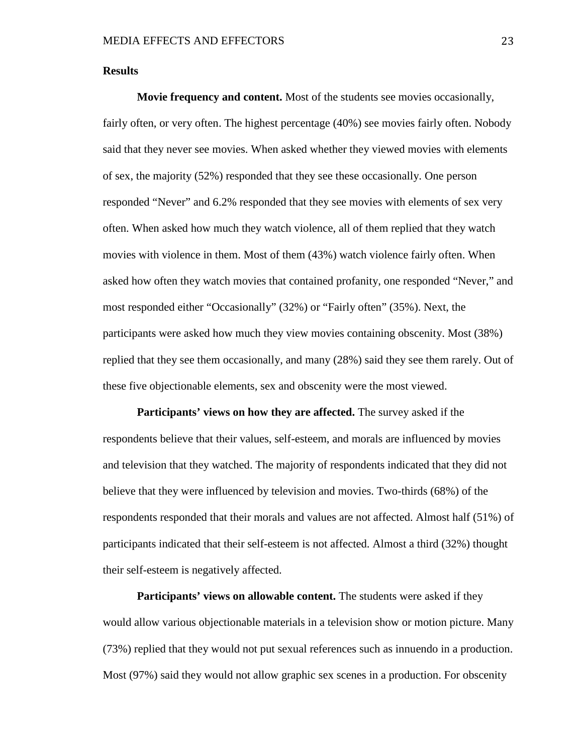#### **Results**

**Movie frequency and content.** Most of the students see movies occasionally, fairly often, or very often. The highest percentage (40%) see movies fairly often. Nobody said that they never see movies. When asked whether they viewed movies with elements of sex, the majority (52%) responded that they see these occasionally. One person responded "Never" and 6.2% responded that they see movies with elements of sex very often. When asked how much they watch violence, all of them replied that they watch movies with violence in them. Most of them (43%) watch violence fairly often. When asked how often they watch movies that contained profanity, one responded "Never," and most responded either "Occasionally" (32%) or "Fairly often" (35%). Next, the participants were asked how much they view movies containing obscenity. Most (38%) replied that they see them occasionally, and many (28%) said they see them rarely. Out of these five objectionable elements, sex and obscenity were the most viewed.

**Participants' views on how they are affected.** The survey asked if the respondents believe that their values, self-esteem, and morals are influenced by movies and television that they watched. The majority of respondents indicated that they did not believe that they were influenced by television and movies. Two-thirds (68%) of the respondents responded that their morals and values are not affected. Almost half (51%) of participants indicated that their self-esteem is not affected. Almost a third (32%) thought their self-esteem is negatively affected.

**Participants' views on allowable content.** The students were asked if they would allow various objectionable materials in a television show or motion picture. Many (73%) replied that they would not put sexual references such as innuendo in a production. Most (97%) said they would not allow graphic sex scenes in a production. For obscenity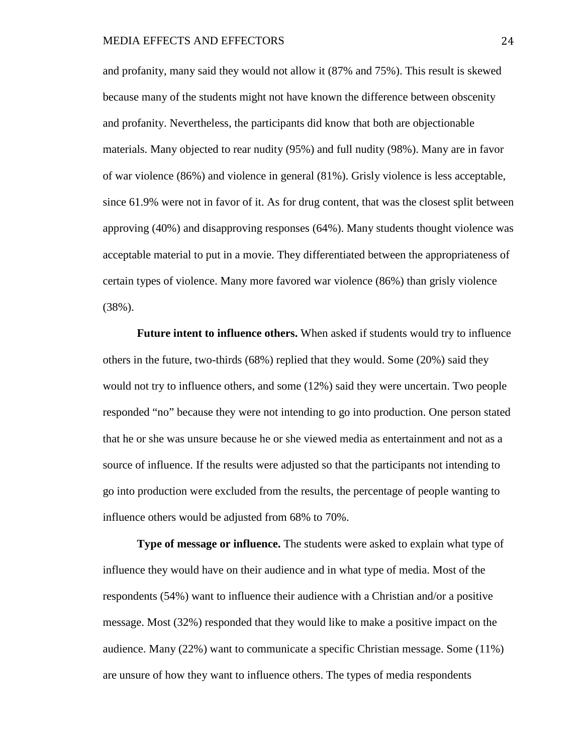and profanity, many said they would not allow it (87% and 75%). This result is skewed because many of the students might not have known the difference between obscenity and profanity. Nevertheless, the participants did know that both are objectionable materials. Many objected to rear nudity (95%) and full nudity (98%). Many are in favor of war violence (86%) and violence in general (81%). Grisly violence is less acceptable, since 61.9% were not in favor of it. As for drug content, that was the closest split between approving (40%) and disapproving responses (64%). Many students thought violence was acceptable material to put in a movie. They differentiated between the appropriateness of certain types of violence. Many more favored war violence (86%) than grisly violence (38%).

**Future intent to influence others.** When asked if students would try to influence others in the future, two-thirds (68%) replied that they would. Some (20%) said they would not try to influence others, and some (12%) said they were uncertain. Two people responded "no" because they were not intending to go into production. One person stated that he or she was unsure because he or she viewed media as entertainment and not as a source of influence. If the results were adjusted so that the participants not intending to go into production were excluded from the results, the percentage of people wanting to influence others would be adjusted from 68% to 70%.

**Type of message or influence.** The students were asked to explain what type of influence they would have on their audience and in what type of media. Most of the respondents (54%) want to influence their audience with a Christian and/or a positive message. Most (32%) responded that they would like to make a positive impact on the audience. Many (22%) want to communicate a specific Christian message. Some (11%) are unsure of how they want to influence others. The types of media respondents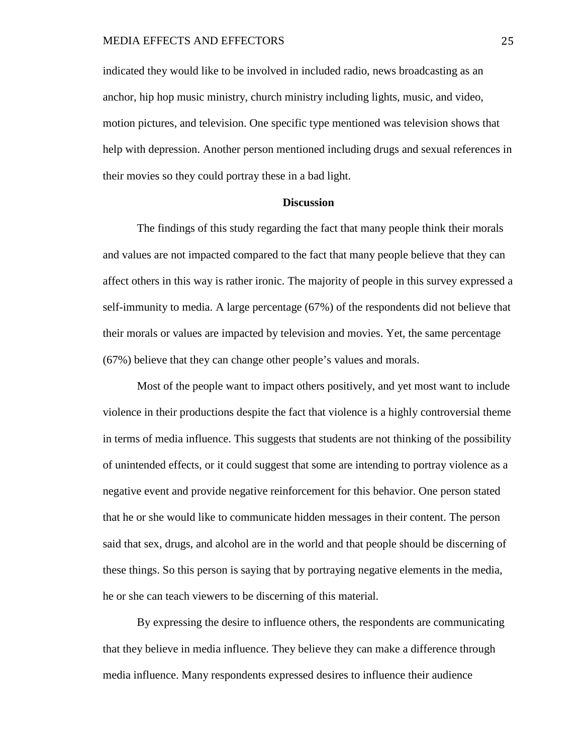indicated they would like to be involved in included radio, news broadcasting as an anchor, hip hop music ministry, church ministry including lights, music, and video, motion pictures, and television. One specific type mentioned was television shows that help with depression. Another person mentioned including drugs and sexual references in their movies so they could portray these in a bad light.

#### **Discussion**

The findings of this study regarding the fact that many people think their morals and values are not impacted compared to the fact that many people believe that they can affect others in this way is rather ironic. The majority of people in this survey expressed a self-immunity to media. A large percentage (67%) of the respondents did not believe that their morals or values are impacted by television and movies. Yet, the same percentage (67%) believe that they can change other people's values and morals.

Most of the people want to impact others positively, and yet most want to include violence in their productions despite the fact that violence is a highly controversial theme in terms of media influence. This suggests that students are not thinking of the possibility of unintended effects, or it could suggest that some are intending to portray violence as a negative event and provide negative reinforcement for this behavior. One person stated that he or she would like to communicate hidden messages in their content. The person said that sex, drugs, and alcohol are in the world and that people should be discerning of these things. So this person is saying that by portraying negative elements in the media, he or she can teach viewers to be discerning of this material.

By expressing the desire to influence others, the respondents are communicating that they believe in media influence. They believe they can make a difference through media influence. Many respondents expressed desires to influence their audience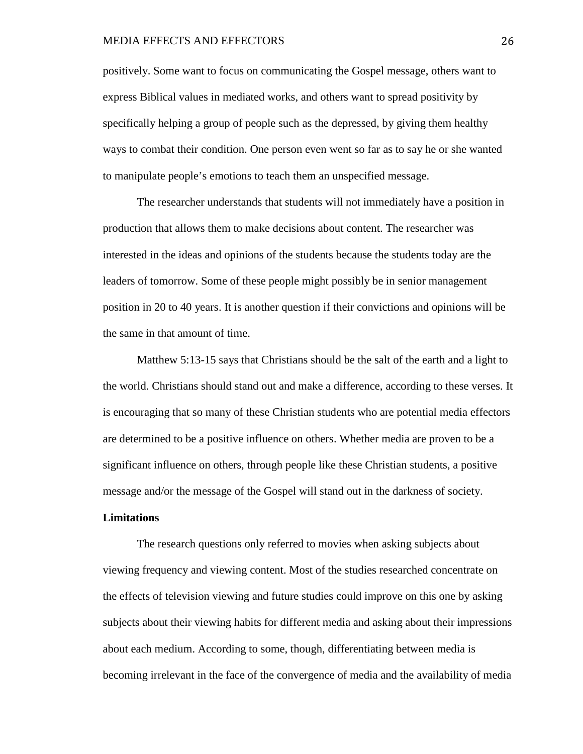#### MEDIA EFFECTS AND EFFECTORS 26

positively. Some want to focus on communicating the Gospel message, others want to express Biblical values in mediated works, and others want to spread positivity by specifically helping a group of people such as the depressed, by giving them healthy ways to combat their condition. One person even went so far as to say he or she wanted to manipulate people's emotions to teach them an unspecified message.

The researcher understands that students will not immediately have a position in production that allows them to make decisions about content. The researcher was interested in the ideas and opinions of the students because the students today are the leaders of tomorrow. Some of these people might possibly be in senior management position in 20 to 40 years. It is another question if their convictions and opinions will be the same in that amount of time.

Matthew 5:13-15 says that Christians should be the salt of the earth and a light to the world. Christians should stand out and make a difference, according to these verses. It is encouraging that so many of these Christian students who are potential media effectors are determined to be a positive influence on others. Whether media are proven to be a significant influence on others, through people like these Christian students, a positive message and/or the message of the Gospel will stand out in the darkness of society.

## **Limitations**

The research questions only referred to movies when asking subjects about viewing frequency and viewing content. Most of the studies researched concentrate on the effects of television viewing and future studies could improve on this one by asking subjects about their viewing habits for different media and asking about their impressions about each medium. According to some, though, differentiating between media is becoming irrelevant in the face of the convergence of media and the availability of media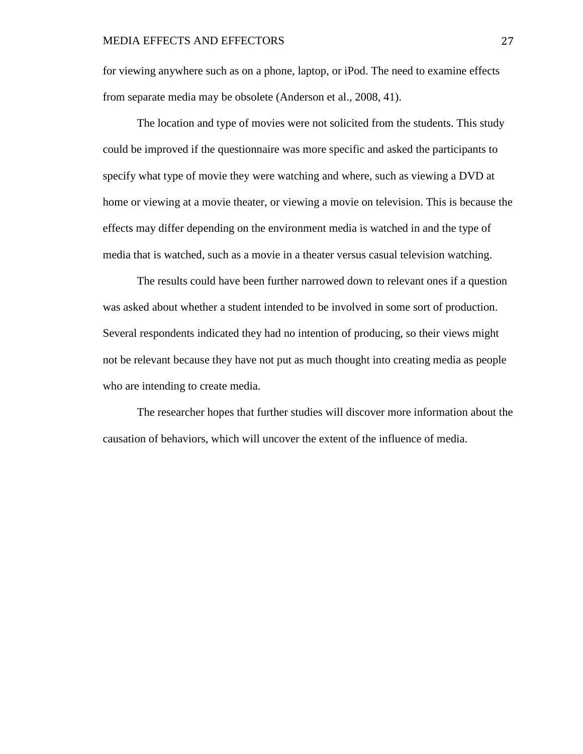for viewing anywhere such as on a phone, laptop, or iPod. The need to examine effects from separate media may be obsolete (Anderson et al., 2008, 41).

The location and type of movies were not solicited from the students. This study could be improved if the questionnaire was more specific and asked the participants to specify what type of movie they were watching and where, such as viewing a DVD at home or viewing at a movie theater, or viewing a movie on television. This is because the effects may differ depending on the environment media is watched in and the type of media that is watched, such as a movie in a theater versus casual television watching.

The results could have been further narrowed down to relevant ones if a question was asked about whether a student intended to be involved in some sort of production. Several respondents indicated they had no intention of producing, so their views might not be relevant because they have not put as much thought into creating media as people who are intending to create media.

The researcher hopes that further studies will discover more information about the causation of behaviors, which will uncover the extent of the influence of media.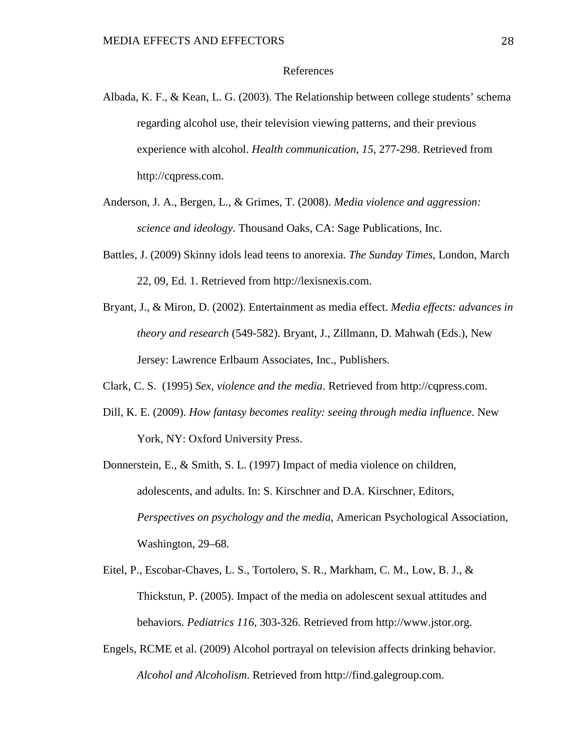## References

- Albada, K. F., & Kean, L. G. (2003). The Relationship between college students' schema regarding alcohol use, their television viewing patterns, and their previous experience with alcohol. *Health communication, 15*, 277-298. Retrieved from http://cqpress.com.
- Anderson, J. A., Bergen, L., & Grimes, T. (2008). *Media violence and aggression: science and ideology*. Thousand Oaks, CA: Sage Publications, Inc.
- Battles, J. (2009) Skinny idols lead teens to anorexia. *The Sunday Times,* London, March 22, 09, Ed. 1. Retrieved from http://lexisnexis.com.
- Bryant, J., & Miron, D. (2002). Entertainment as media effect. *Media effects: advances in theory and research* (549-582). Bryant, J., Zillmann, D. Mahwah (Eds.), New Jersey: Lawrence Erlbaum Associates, Inc., Publishers.
- Clark, C. S. (1995) *Sex, violence and the media*. Retrieved from http://cqpress.com.
- Dill, K. E. (2009). *How fantasy becomes reality: seeing through media influence*. New York, NY: Oxford University Press.
- Donnerstein, E., & Smith, S. L. (1997) Impact of media violence on children, adolescents, and adults. In: S. Kirschner and D.A. Kirschner, Editors, *Perspectives on psychology and the media*, American Psychological Association, Washington, 29–68.
- Eitel, P., Escobar-Chaves, L. S., Tortolero, S. R., Markham, C. M., Low, B. J., & Thickstun, P. (2005). Impact of the media on adolescent sexual attitudes and behaviors. *Pediatrics 116*, 303-326. Retrieved from http://www.jstor.org.
- Engels, RCME et al. (2009) Alcohol portrayal on television affects drinking behavior. *Alcohol and Alcoholism*. Retrieved from http://find.galegroup.com.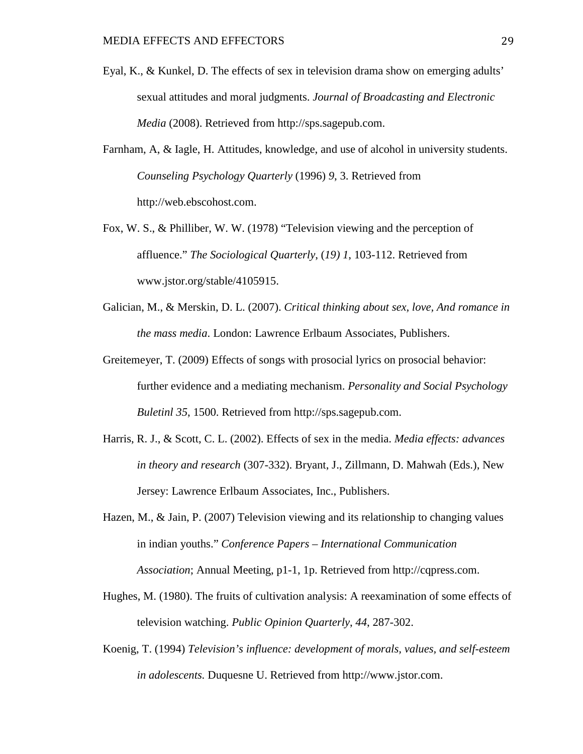- Eyal, K., & Kunkel, D. The effects of sex in television drama show on emerging adults' sexual attitudes and moral judgments. *Journal of Broadcasting and Electronic Media* (2008). Retrieved from http://sps.sagepub.com.
- Farnham, A, & Iagle, H. Attitudes, knowledge, and use of alcohol in university students. *Counseling Psychology Quarterly* (1996) *9*, 3. Retrieved from http://web.ebscohost.com.
- Fox, W. S., & Philliber, W. W. (1978) "Television viewing and the perception of affluence." *The Sociological Quarterly*, (*19) 1*, 103-112. Retrieved from www.jstor.org/stable/4105915.
- Galician, M., & Merskin, D. L. (2007). *Critical thinking about sex, love, And romance in the mass media*. London: Lawrence Erlbaum Associates, Publishers.
- Greitemeyer, T. (2009) Effects of songs with prosocial lyrics on prosocial behavior: further evidence and a mediating mechanism. *Personality and Social Psychology Buletinl 35*, 1500. Retrieved from http://sps.sagepub.com.
- Harris, R. J., & Scott, C. L. (2002). Effects of sex in the media. *Media effects: advances in theory and research* (307-332). Bryant, J., Zillmann, D. Mahwah (Eds.), New Jersey: Lawrence Erlbaum Associates, Inc., Publishers.
- Hazen, M., & Jain, P. (2007) Television viewing and its relationship to changing values in indian youths." *Conference Papers – International Communication Association*; Annual Meeting, p1-1, 1p. Retrieved from http://cqpress.com.
- Hughes, M. (1980). The fruits of cultivation analysis: A reexamination of some effects of television watching. *Public Opinion Quarterly*, *44*, 287-302.
- Koenig, T. (1994) *Television's influence: development of morals, values, and self-esteem in adolescents.* Duquesne U. Retrieved from http://www.jstor.com.